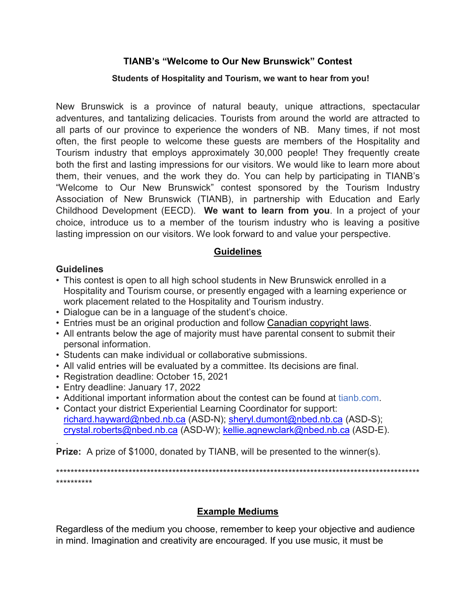### **TIANB's "Welcome to Our New Brunswick" Contest**

#### **Students of Hospitality and Tourism, we want to hear from you!**

New Brunswick is a province of natural beauty, unique attractions, spectacular adventures, and tantalizing delicacies. Tourists from around the world are attracted to all parts of our province to experience the wonders of NB. Many times, if not most often, the first people to welcome these guests are members of the Hospitality and Tourism industry that employs approximately 30,000 people! They frequently create both the first and lasting impressions for our visitors. We would like to learn more about them, their venues, and the work they do. You can help by participating in TIANB's "Welcome to Our New Brunswick" contest sponsored by the Tourism Industry Association of New Brunswick (TIANB), in partnership with Education and Early Childhood Development (EECD). **We want to learn from you**. In a project of your choice, introduce us to a member of the tourism industry who is leaving a positive lasting impression on our visitors. We look forward to and value your perspective.

#### **Guidelines**

#### **Guidelines**

- This contest is open to all high school students in New Brunswick enrolled in a Hospitality and Tourism course, or presently engaged with a learning experience or work placement related to the Hospitality and Tourism industry.
- Dialogue can be in a language of the student's choice.
- Entries must be an original production and follow [Canadian copyright laws.](http://cmec.ca/Publications/Lists/Publications/Attachments/291/Copyright_Matters.pdf)
- All entrants below the age of majority must have parental consent to submit their personal information.
- Students can make individual or collaborative submissions.
- All valid entries will be evaluated by a committee. Its decisions are final.
- Registration deadline: October 15, 2021
- Entry deadline: January 17, 2022
- Additional important information about the contest can be found at tianb.com.
- Contact your district Experiential Learning Coordinator for support: [richard.hayward@nbed.nb.ca](mailto:richard.hayward@nbed.nb.ca) (ASD-N); [sheryl.dumont@nbed.nb.ca](mailto:sherry.dumont@nbed.nb.ca) (ASD-S); [crystal.roberts@nbed.nb.ca](mailto:crystal.roberts@nbed.nb.ca) (ASD-W); [kellie.agnewclark@nbed.nb.ca](mailto:kellie.agnewclark@nbed.nb.ca) (ASD-E).

. **Prize:** A prize of \$1000, donated by TIANB, will be presented to the winner(s).

\*\*\*\*\*\*\*\*\*\*\*\*\*\*\*\*\*\*\*\*\*\*\*\*\*\*\*\*\*\*\*\*\*\*\*\*\*\*\*\*\*\*\*\*\*\*\*\*\*\*\*\*\*\*\*\*\*\*\*\*\*\*\*\*\*\*\*\*\*\*\*\*\*\*\*\*\*\*\*\*\*\*\*\*\*\*\*\*\*\*\*\*\*\*\*\*\*\*\*\* \*\*\*\*\*\*\*\*\*\*

# **Example Mediums**

Regardless of the medium you choose, remember to keep your objective and audience in mind. Imagination and creativity are encouraged. If you use music, it must be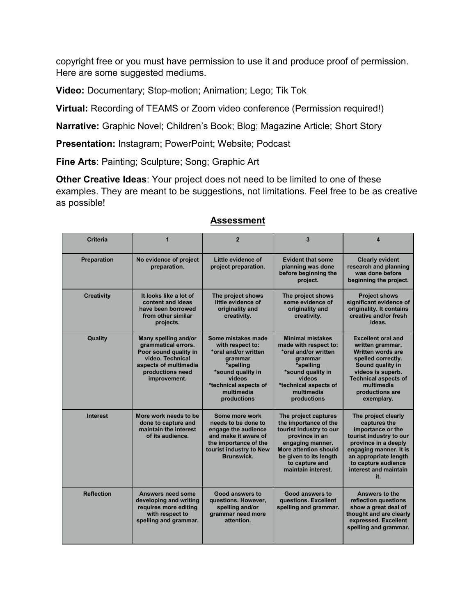copyright free or you must have permission to use it and produce proof of permission. Here are some suggested mediums.

**Video:** Documentary; Stop-motion; Animation; Lego; Tik Tok

**Virtual:** Recording of TEAMS or Zoom video conference (Permission required!)

**Narrative:** Graphic Novel; Children's Book; Blog; Magazine Article; Short Story

**Presentation:** Instagram; PowerPoint; Website; Podcast

**Fine Arts**: Painting; Sculpture; Song; Graphic Art

**Other Creative Ideas**: Your project does not need to be limited to one of these examples. They are meant to be suggestions, not limitations. Feel free to be as creative as possible!

| <b>Criteria</b>   | 1                                                                                                                                                     | $\overline{2}$                                                                                                                                                                     | 3                                                                                                                                                                                                         | $\overline{\mathbf{A}}$                                                                                                                                                                                                |
|-------------------|-------------------------------------------------------------------------------------------------------------------------------------------------------|------------------------------------------------------------------------------------------------------------------------------------------------------------------------------------|-----------------------------------------------------------------------------------------------------------------------------------------------------------------------------------------------------------|------------------------------------------------------------------------------------------------------------------------------------------------------------------------------------------------------------------------|
| Preparation       | No evidence of project<br>preparation.                                                                                                                | Little evidence of<br>project preparation.                                                                                                                                         | <b>Evident that some</b><br>planning was done<br>before beginning the<br>project.                                                                                                                         | <b>Clearly evident</b><br>research and planning<br>was done before<br>beginning the project.                                                                                                                           |
| <b>Creativity</b> | It looks like a lot of<br>content and ideas<br>have been borrowed<br>from other similar<br>projects.                                                  | The project shows<br>little evidence of<br>originality and<br>creativity.                                                                                                          | The project shows<br>some evidence of<br>originality and<br>creativity.                                                                                                                                   | <b>Project shows</b><br>significant evidence of<br>originality. It contains<br>creative and/or fresh<br>ideas.                                                                                                         |
| Quality           | Many spelling and/or<br>grammatical errors.<br>Poor sound quality in<br>video. Technical<br>aspects of multimedia<br>productions need<br>improvement. | Some mistakes made<br>with respect to:<br>*oral and/or written<br><b>grammar</b><br>*spelling<br>*sound quality in<br>videos<br>*technical aspects of<br>multimedia<br>productions | <b>Minimal mistakes</b><br>made with respect to:<br>*oral and/or written<br><b>grammar</b><br>*spelling<br>*sound quality in<br>videos<br>*technical aspects of<br>multimedia<br>productions              | <b>Excellent oral and</b><br>written grammar.<br><b>Written words are</b><br>spelled correctly.<br>Sound quality in<br>videos is superb.<br><b>Technical aspects of</b><br>multimedia<br>productions are<br>exemplary. |
| <b>Interest</b>   | More work needs to be<br>done to capture and<br>maintain the interest<br>of its audience.                                                             | Some more work<br>needs to be done to<br>engage the audience<br>and make it aware of<br>the importance of the<br>tourist industry to New<br>Brunswick.                             | The project captures<br>the importance of the<br>tourist industry to our<br>province in an<br>engaging manner.<br>More attention should<br>be given to its length<br>to capture and<br>maintain interest. | The project clearly<br>captures the<br>importance or the<br>tourist industry to our<br>province in a deeply<br>engaging manner. It is<br>an appropriate length<br>to capture audience<br>interest and maintain<br>it.  |
| <b>Reflection</b> | Answers need some<br>developing and writing<br>requires more editing<br>with respect to<br>spelling and grammar.                                      | Good answers to<br>questions. However,<br>spelling and/or<br>grammar need more<br>attention.                                                                                       | Good answers to<br>questions. Excellent<br>spelling and grammar.                                                                                                                                          | Answers to the<br>reflection questions<br>show a great deal of<br>thought and are clearly<br>expressed. Excellent<br>spelling and grammar.                                                                             |

#### **Assessment**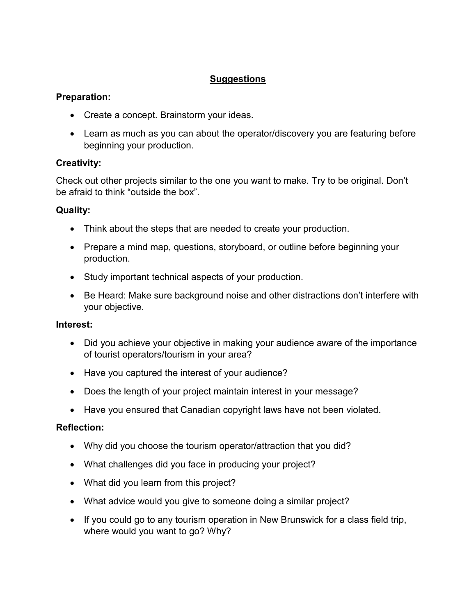# **Suggestions**

## **Preparation:**

- Create a concept. Brainstorm your ideas.
- Learn as much as you can about the operator/discovery you are featuring before beginning your production.

# **Creativity:**

Check out other projects similar to the one you want to make. Try to be original. Don't be afraid to think "outside the box".

## **Quality:**

- Think about the steps that are needed to create your production.
- Prepare a mind map, questions, storyboard, or outline before beginning your production.
- Study important technical aspects of your production.
- Be Heard: Make sure background noise and other distractions don't interfere with your objective.

### **Interest:**

- Did you achieve your objective in making your audience aware of the importance of tourist operators/tourism in your area?
- Have you captured the interest of your audience?
- Does the length of your project maintain interest in your message?
- Have you ensured that Canadian copyright laws have not been violated.

### **Reflection:**

- Why did you choose the tourism operator/attraction that you did?
- What challenges did you face in producing your project?
- What did you learn from this project?
- What advice would you give to someone doing a similar project?
- If you could go to any tourism operation in New Brunswick for a class field trip, where would you want to go? Why?